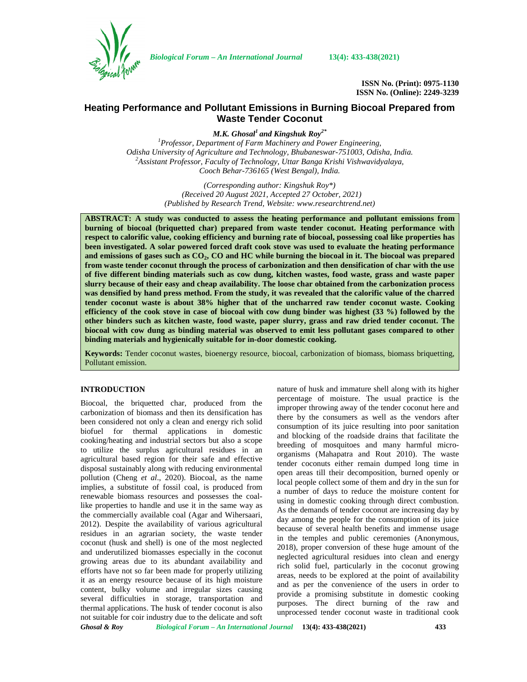

*Biological Forum – An International Journal* **13(4): 433-438(2021)**

**ISSN No. (Print): 0975-1130 ISSN No. (Online): 2249-3239**

# **Heating Performance and Pollutant Emissions in Burning Biocoal Prepared from Waste Tender Coconut**

*M.K. Ghosal<sup>1</sup> and Kingshuk Roy2\**

*<sup>1</sup>Professor, Department of Farm Machinery and Power Engineering, Odisha University of Agriculture and Technology, Bhubaneswar-751003, Odisha, India. <sup>2</sup>Assistant Professor, Faculty of Technology, Uttar Banga Krishi Vishwavidyalaya, Cooch Behar-736165 (West Bengal), India.*

> *(Corresponding author: Kingshuk Roy\*) (Received 20 August 2021, Accepted 27 October, 2021) (Published by Research Trend, Website: [www.researchtrend.net\)](www.researchtrend.net)*

**ABSTRACT: A study was conducted to assess the heating performance and pollutant emissions from burning of biocoal (briquetted char) prepared from waste tender coconut. Heating performance with respect to calorific value, cooking efficiency and burning rate of biocoal, possessing coal like properties has been investigated. A solar powered forced draft cook stove was used to evaluate the heating performance and emissions of gases such as CO2, CO and HC while burning the biocoal in it. The biocoal was prepared from waste tender coconut through the process of carbonization and then densification of char with the use of five different binding materials such as cow dung, kitchen wastes, food waste, grass and waste paper slurry because of their easy and cheap availability. The loose char obtained from the carbonization process was densified by hand press method. From the study, it was revealed that the calorific value of the charred tender coconut waste is about 38% higher that of the uncharred raw tender coconut waste. Cooking efficiency of the cook stove in case of biocoal with cow dung binder was highest (33 %) followed by the other binders such as kitchen waste, food waste, paper slurry, grass and raw dried tender coconut. The biocoal with cow dung as binding material was observed to emit less pollutant gases compared to other binding materials and hygienically suitable for in-door domestic cooking.**

**Keywords:** Tender coconut wastes, bioenergy resource, biocoal, carbonization of biomass, biomass briquetting, Pollutant emission.

## **INTRODUCTION**

Biocoal, the briquetted char, produced from the carbonization of biomass and then its densification has been considered not only a clean and energy rich solid biofuel for thermal applications in domestic cooking/heating and industrial sectors but also a scope to utilize the surplus agricultural residues in an agricultural based region for their safe and effective disposal sustainably along with reducing environmental pollution (Cheng *et al*., 2020). Biocoal, as the name implies, a substitute of fossil coal, is produced from renewable biomass resources and possesses the coallike properties to handle and use it in the same way as the commercially available coal (Agar and Wihersaari, 2012). Despite the availability of various agricultural residues in an agrarian society, the waste tender coconut (husk and shell) is one of the most neglected and underutilized biomasses especially in the coconut growing areas due to its abundant availability and efforts have not so far been made for properly utilizing it as an energy resource because of its high moisture content, bulky volume and irregular sizes causing several difficulties in storage, transportation and thermal applications. The husk of tender coconut is also not suitable for coir industry due to the delicate and soft nature of husk and immature shell along with its higher percentage of moisture. The usual practice is the improper throwing away of the tender coconut here and there by the consumers as well as the vendors after consumption of its juice resulting into poor sanitation and blocking of the roadside drains that facilitate the breeding of mosquitoes and many harmful micro organisms (Mahapatra and Rout 2010). The waste tender coconuts either remain dumped long time in open areas till their decomposition, burned openly or local people collect some of them and dry in the sun for a number of days to reduce the moisture content for using in domestic cooking through direct combustion. As the demands of tender coconut are increasing day by day among the people for the consumption of its juice because of several health benefits and immense usage in the temples and public ceremonies (Anonymous, 2018), proper conversion of these huge amount of the neglected agricultural residues into clean and energy rich solid fuel, particularly in the coconut growing areas, needs to be explored at the point of availability and as per the convenience of the users in order to provide a promising substitute in domestic cooking purposes. The direct burning of the raw and unprocessed tender coconut waste in traditional cook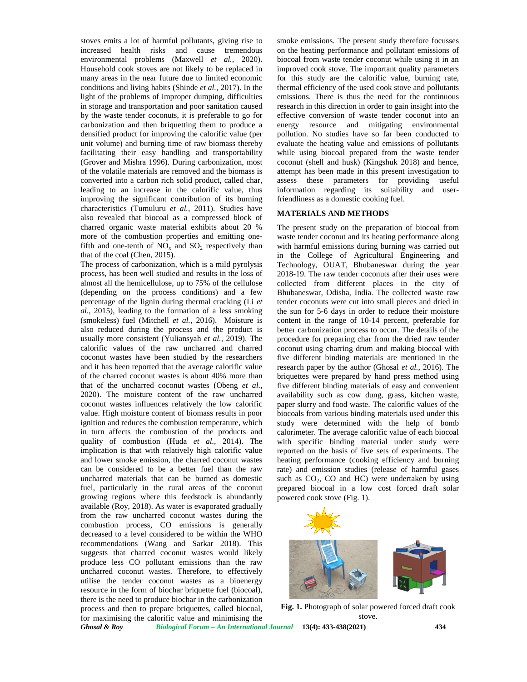stoves emits a lot of harmful pollutants, giving rise to increased health risks and cause tremendous environmental problems (Maxwell *et al.,* 2020). Household cook stoves are not likely to be replaced in many areas in the near future due to limited economic conditions and living habits (Shinde *et al.,* 2017). In the light of the problems of improper dumping, difficulties in storage and transportation and poor sanitation caused by the waste tender coconuts, it is preferable to go for carbonization and then briquetting them to produce a densified product for improving the calorific value (per unit volume) and burning time of raw biomass thereby facilitating their easy handling and transportability (Grover and Mishra 1996). During carbonization, most of the volatile materials are removed and the biomass is converted into a carbon rich solid product, called char, leading to an increase in the calorific value, thus improving the significant contribution of its burning characteristics (Tumuluru *et al.,* 2011). Studies have also revealed that biocoal as a compressed block of charred organic waste material exhibits about 20 % more of the combustion properties and emitting onefifth and one-tenth of  $NO<sub>x</sub>$  and  $SO<sub>2</sub>$  respectively than that of the coal (Chen, 2015).

The process of carbonization, which is a mild pyrolysis process, has been well studied and results in the loss of almost all the hemicellulose, up to 75% of the cellulose (depending on the process conditions) and a few percentage of the lignin during thermal cracking (Li *et al*., 2015), leading to the formation of a less smoking (smokeless) fuel (Mitchell *et al.,* 2016). Moisture is also reduced during the process and the product is usually more consistent (Yuliansyah *et al.,* 2019). The calorific values of the raw uncharred and charred coconut wastes have been studied by the researchers and it has been reported that the average calorific value of the charred coconut wastes is about 40% more than that of the uncharred coconut wastes (Obeng *et al.,* 2020). The moisture content of the raw uncharred coconut wastes influences relatively the low calorific value. High moisture content of biomass results in poor ignition and reduces the combustion temperature, which in turn affects the combustion of the products and quality of combustion (Huda *et al.,* 2014). The implication is that with relatively high calorific value and lower smoke emission, the charred coconut wastes can be considered to be a better fuel than the raw uncharred materials that can be burned as domestic fuel, particularly in the rural areas of the coconut growing regions where this feedstock is abundantly available (Roy, 2018). As water is evaporated gradually from the raw uncharred coconut wastes during the combustion process, CO emissions is generally decreased to a level considered to be within the WHO recommendations (Wang and Sarkar 2018). This suggests that charred coconut wastes would likely produce less CO pollutant emissions than the raw uncharred coconut wastes. Therefore, to effectively utilise the tender coconut wastes as a bioenergy resource in the form of biochar briquette fuel (biocoal), there is the need to produce biochar in the carbonization process and then to prepare briquettes, called biocoal, for maximising the calorific value and minimising the

smoke emissions. The present study therefore focusses on the heating performance and pollutant emissions of biocoal from waste tender coconut while using it in an improved cook stove. The important quality parameters for this study are the calorific value, burning rate, thermal efficiency of the used cook stove and pollutants emissions. There is thus the need for the continuous research in this direction in order to gain insight into the effective conversion of waste tender coconut into an energy resource and mitigating environmental pollution. No studies have so far been conducted to evaluate the heating value and emissions of pollutants while using biocoal prepared from the waste tender coconut (shell and husk) (Kingshuk 2018) and hence, attempt has been made in this present investigation to assess these parameters for providing useful information regarding its suitability and userfriendliness as a domestic cooking fuel.

#### **MATERIALS AND METHODS**

The present study on the preparation of biocoal from waste tender coconut and its heating performance along with harmful emissions during burning was carried out in the College of Agricultural Engineering and Technology, OUAT, Bhubaneswar during the year 2018-19. The raw tender coconuts after their uses were collected from different places in the city of Bhubaneswar, Odisha, India. The collected waste raw tender coconuts were cut into small pieces and dried in the sun for 5-6 days in order to reduce their moisture content in the range of 10-14 percent, preferable for better carbonization process to occur. The details of the procedure for preparing char from the dried raw tender coconut using charring drum and making biocoal with five different binding materials are mentioned in the research paper by the author (Ghosal *et al.,* 2016). The briquettes were prepared by hand press method using five different binding materials of easy and convenient availability such as cow dung, grass, kitchen waste, paper slurry and food waste. The calorific values of the biocoals from various binding materials used under this study were determined with the help of bomb calorimeter. The average calorific value of each biocoal with specific binding material under study were reported on the basis of five sets of experiments. The heating performance (cooking efficiency and burning rate) and emission studies (release of harmful gases such as  $CO<sub>2</sub>$ , CO and HC) were undertaken by using prepared biocoal in a low cost forced draft solar powered cook stove (Fig. 1).



**Fig. 1.** Photograph of solar powered forced draft cook stove.

*Ghosal & Roy Biological Forum – An International Journal* **13(4): 433-438(2021) 434**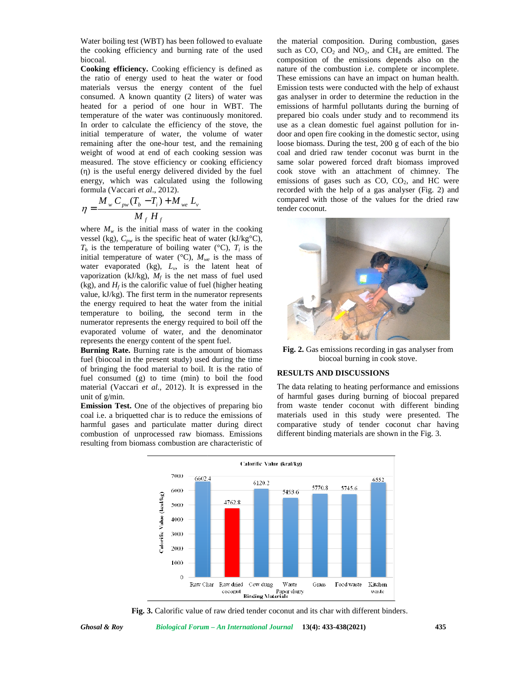Water boiling test (WBT) has been followed to evaluate the cooking efficiency and burning rate of the used biocoal.

**Cooking efficiency.** Cooking efficiency is defined as the ratio of energy used to heat the water or food materials versus the energy content of the fuel consumed. A known quantity (2 liters) of water was heated for a period of one hour in WBT. The temperature of the water was continuously monitored. In order to calculate the efficiency of the stove, the initial temperature of water, the volume of water remaining after the one-hour test, and the remaining weight of wood at end of each cooking session was measured. The stove efficiency or cooking efficiency () is the useful energy delivered divided by the fuel c energy, which was calculated using the following emiss formula (Vaccari *et al.*, 2012).

$$
\eta = \frac{M_{w} C_{pw} (T_b - T_i) + M_{we} L_v}{M_f H_f}
$$
 compared with those of the values for  
tender coconut.

where  $M_w$  is the initial mass of water in the cooking where  $M_w$  is the initial mass of water in the cooking vessel (kg),  $C_{pw}$  is the specific heat of water (kJ/kg<sup>o</sup>C),  $T_b$  is the temperature of boiling water (°C),  $T_i$  is the initial temperature of water ( $\degree$ C),  $M_{we}$  is the mass of water evaporated (kg),  $L_v$ , is the latent heat of vaporization (kJ/kg),  $M_f$  is the net mass of fuel used (kg), and  $H_f$  is the calorific value of fuel (higher heating (kg), and  $H_f$  is the calorific value of fuel (higher heating value, kJ/kg). The first term in the numerator represents the energy required to heat the water from the initial temperature to boiling, the second term in the numerator represents the energy required to boil off the evaporated volume of water, and the denominator represents the energy content of the spent fuel. the energy required to heat the water from the<br>temperature to boiling, the second term is<br>numerator represents the energy required to boil

**Burning Rate.** Burning rate is the amount of biomass fuel (biocoal in the present study) used during the time of bringing the food material to boil. It is the ratio of  $\mathbf{p}$ fuel consumed (g) to time (min) to boil the food material (Vaccari *et al.,* 2012). It is expressed in the unit of g/min. fuel consumed (g) to time (min)<br>material (Vaccari *et al.*, 2012). It i<br>unit of g/min.<br>**Emission Test.** One of the objective<br>coal i.e. a briquetted char is to reduc

**Emission Test.** One of the objectives of preparing bio coal i.e. a briquetted char is to reduce the emissions of harmful gases and particulate matter during direct combustion of unprocessed raw biomass. Emissions resulting from biomass combustion are characteristic of

 $M_{\nu} C_{\nu} (T_h - T_i) + M_{\nu} L_{\nu}$  compared with those of the values for the dried raw the material composition. During combustion, gases such as  $CO$ ,  $CO<sub>2</sub>$  and  $NO<sub>2</sub>$ , and  $CH<sub>4</sub>$  are emitted. The composition of the emissions depends also on the nature of the combustion i.e. complete or incomplete. These emissions can have an impact on human health. Emission tests were conducted with the help of exhaust gas analyser in order to determine the reduction in the emissions of harmful pollutants during the burning of prepared bio coals under study and to recommend its use as a clean domestic fuel against pollution for in door and open fire cooking in the domestic sector, using loose biomass. During the test, 200 g of each of the bio coal and dried raw tender coconut was burnt in the same solar powered forced draft biomass improved cook stove with an attachment of chimney. The emissions of gases such as  $CO$ ,  $CO<sub>2</sub>$ , and  $HC$  were recorded with the help of a gas analyser (Fig. 2) and tender coconut. (would to evaluate the material composition. During conbustion, gave<br>the content of the used such as CO, CO<sub>2</sub> and NO<sub>2</sub>, and CH<sub>4</sub> are emitted. The<br>evaluate of the used such as CO, CO<sub>2</sub> and NO<sub>2</sub>, and CH<sub>4</sub> are emitted.



**Fig. 2.** Gas emissions recording in gas analyser from biocoal burning in cook stove.

### **RESULTS AND DISCUSSIONS**

The data relating to heating performance and emissions of harmful gases during burning of biocoal prepared from waste tender coconut with different binding materials used in this study were presented. The comparative study of tender coconut char having different binding materials are shown in the Fig. 3.



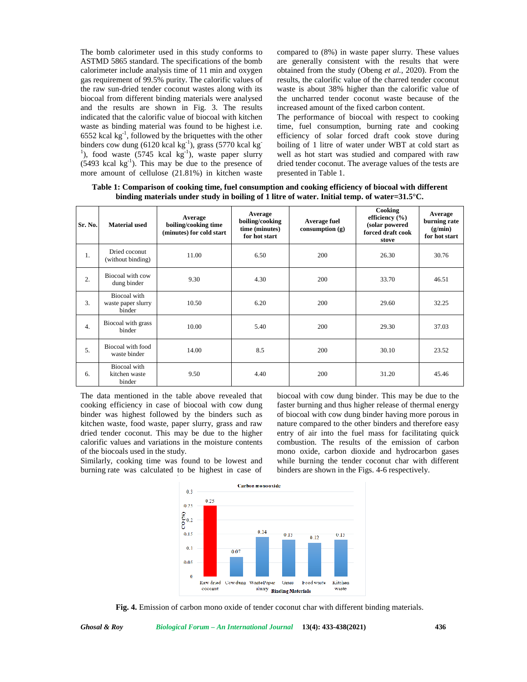The bomb calorimeter used in this study conforms to ASTMD 5865 standard. The specifications of the bomb calorimeter include analysis time of 11 min and oxygen gas requirement of 99.5% purity. The calorific values of the raw sun-dried tender coconut wastes along with its biocoal from different binding materials were analysed and the results are shown in Fig. 3. The results indicated that the calorific value of biocoal with kitchen waste as binding material was found to be highest i.e. 6552 kcal  $\text{kg}^{-1}$ , followed by the briquettes with the other ef binders cow dung (6120 kcal kg<sup>-1</sup>), grass (5770 kcal kg<sup>-1</sup>), food waste (5745 kcal kg<sup>-1</sup>), waste paper slurry  $(5493 \text{ kcal kg}^{-1})$ . This may be due to the presence of more amount of cellulose (21.81%) in kitchen waste

compared to (8%) in waste paper slurry. These values are generally consistent with the results that were obtained from the study (Obeng *et al.,* 2020). From the results, the calorific value of the charred tender coconut waste is about 38% higher than the calorific value of the uncharred tender coconut waste because of the increased amount of the fixed carbon content.

The performance of biocoal with respect to cooking time, fuel consumption, burning rate and cooking efficiency of solar forced draft cook stove during boiling of 1 litre of water under WBT at cold start as well as hot start was studied and compared with raw dried tender coconut. The average values of the tests are presented in Table 1.

**Table 1: Comparison of cooking time, fuel consumption and cooking efficiency of biocoal with different binding materials under study in boiling of 1 litre of water. Initial temp. of water=31.5°C.**

| Sr. No.          | <b>Material used</b>                         | Average<br>boiling/cooking time<br>(minutes) for cold start | Average<br>boiling/cooking<br>time (minutes)<br>for hot start | Average fuel<br>consumption $(g)$ | Cooking<br>efficiency $(\% )$<br>(solar powered<br>forced draft cook<br>stove | Average<br>burning rate<br>(g/min)<br>for hot start |
|------------------|----------------------------------------------|-------------------------------------------------------------|---------------------------------------------------------------|-----------------------------------|-------------------------------------------------------------------------------|-----------------------------------------------------|
| 1.               | Dried coconut<br>(without binding)           | 11.00                                                       | 6.50                                                          | 200                               | 26.30                                                                         | 30.76                                               |
| 2.               | Biocoal with cow<br>dung binder              | 9.30                                                        | 4.30                                                          | 200                               | 33.70                                                                         | 46.51                                               |
| 3.               | Biocoal with<br>waste paper slurry<br>binder | 10.50                                                       | 6.20                                                          | 200                               | 29.60                                                                         | 32.25                                               |
| $\overline{4}$ . | Biocoal with grass<br>binder                 | 10.00                                                       | 5.40                                                          | 200                               | 29.30                                                                         | 37.03                                               |
| 5.               | Biocoal with food<br>waste binder            | 14.00                                                       | 8.5                                                           | 200                               | 30.10                                                                         | 23.52                                               |
| 6.               | Biocoal with<br>kitchen waste<br>binder      | 9.50                                                        | 4.40                                                          | 200                               | 31.20                                                                         | 45.46                                               |

The data mentioned in the table above revealed that cooking efficiency in case of biocoal with cow dung binder was highest followed by the binders such as kitchen waste, food waste, paper slurry, grass and raw dried tender coconut. This may be due to the higher calorific values and variations in the moisture contents of the biocoals used in the study.

Similarly, cooking time was found to be lowest and burning rate was calculated to be highest in case of

biocoal with cow dung binder. This may be due to the faster burning and thus higher release of thermal energy of biocoal with cow dung binder having more porous in nature compared to the other binders and therefore easy entry of air into the fuel mass for facilitating quick combustion. The results of the emission of carbon mono oxide, carbon dioxide and hydrocarbon gases while burning the tender coconut char with different binders are shown in the Figs. 4-6 respectively.



**Fig. 4.** Emission of carbon mono oxide of tender coconut char with different binding materials.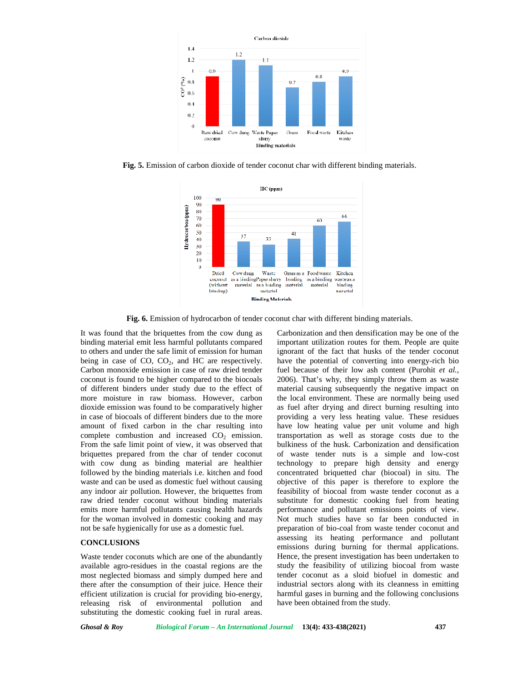

**Fig. 5.** Emission of carbon dioxide of tender coconut char with different binding materials.



**Fig. 6.** Emission of hydrocarbon of tender coconut char with different binding materials.

It was found that the briquettes from the cow dung as binding material emit less harmful pollutants compared to others and under the safe limit of emission for human being in case of  $CO$ ,  $CO<sub>2</sub>$ , and HC are respectively. Carbon monoxide emission in case of raw dried tender coconut is found to be higher compared to the biocoals of different binders under study due to the effect of more moisture in raw biomass. However, carbon dioxide emission was found to be comparatively higher in case of biocoals of different binders due to the more amount of fixed carbon in the char resulting into complete combustion and increased  $CO<sub>2</sub>$  emission. From the safe limit point of view, it was observed that briquettes prepared from the char of tender coconut with cow dung as binding material are healthier followed by the binding materials i.e. kitchen and food waste and can be used as domestic fuel without causing any indoor air pollution. However, the briquettes from raw dried tender coconut without binding materials emits more harmful pollutants causing health hazards for the woman involved in domestic cooking and may not be safe hygienically for use as a domestic fuel.

#### **CONCLUSIONS**

Waste tender coconuts which are one of the abundantly available agro-residues in the coastal regions are the most neglected biomass and simply dumped here and there after the consumption of their juice. Hence their efficient utilization is crucial for providing bio-energy, releasing risk of environmental pollution and substituting the domestic cooking fuel in rural areas.

Carbonization and then densification may be one of the important utilization routes for them. People are quite ignorant of the fact that husks of the tender coconut have the potential of converting into energy-rich bio fuel because of their low ash content (Purohit *et al.,* 2006). That's why, they simply throw them as waste material causing subsequently the negative impact on the local environment. These are normally being used as fuel after drying and direct burning resulting into providing a very less heating value. These residues have low heating value per unit volume and high transportation as well as storage costs due to the bulkiness of the husk. Carbonization and densification of waste tender nuts is a simple and low-cost technology to prepare high density and energy concentrated briquetted char (biocoal) in situ. The objective of this paper is therefore to explore the feasibility of biocoal from waste tender coconut as a substitute for domestic cooking fuel from heating performance and pollutant emissions points of view. Not much studies have so far been conducted in preparation of bio-coal from waste tender coconut and assessing its heating performance and pollutant emissions during burning for thermal applications. Hence, the present investigation has been undertaken to study the feasibility of utilizing biocoal from waste tender coconut as a sloid biofuel in domestic and industrial sectors along with its cleanness in emitting harmful gases in burning and the following conclusions have been obtained from the study.